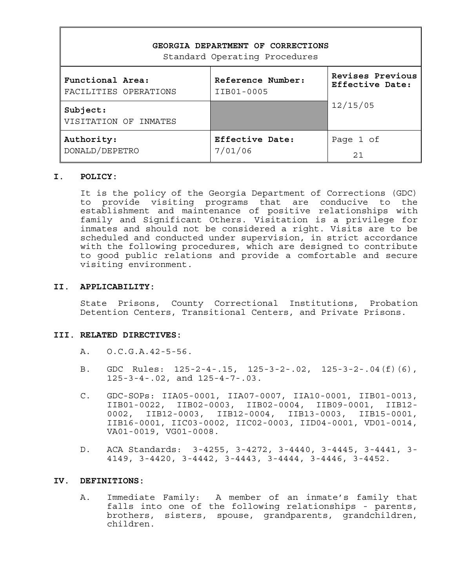| GEORGIA DEPARTMENT OF CORRECTIONS<br>Standard Operating Procedures |                        |                  |  |  |  |  |  |  |
|--------------------------------------------------------------------|------------------------|------------------|--|--|--|--|--|--|
| Functional Area:                                                   | Reference Number:      | Revises Previous |  |  |  |  |  |  |
| FACILITIES OPERATIONS                                              | IIB01-0005             | Effective Date:  |  |  |  |  |  |  |
| Subject:<br>VISITATION OF INMATES                                  |                        | 12/15/05         |  |  |  |  |  |  |
| Authority:                                                         | <b>Effective Date:</b> | Page 1 of        |  |  |  |  |  |  |
| DONALD/DEPETRO                                                     | 7/01/06                | 2.1              |  |  |  |  |  |  |

#### **I. POLICY:**

It is the policy of the Georgia Department of Corrections (GDC) to provide visiting programs that are conducive to the establishment and maintenance of positive relationships with family and Significant Others. Visitation is a privilege for inmates and should not be considered a right. Visits are to be scheduled and conducted under supervision, in strict accordance with the following procedures, which are designed to contribute to good public relations and provide a comfortable and secure visiting environment.

#### **II. APPLICABILITY:**

State Prisons, County Correctional Institutions, Probation Detention Centers, Transitional Centers, and Private Prisons.

#### **III. RELATED DIRECTIVES:**

- A. O.C.G.A.42-5-56.
- B. GDC Rules: 125-2-4-.15, 125-3-2-.02, 125-3-2-.04(f)(6), 125-3-4-.02, and 125-4-7-.03.
- C. GDC-SOPs: IIA05-0001, IIA07-0007, IIA10-0001, IIB01-0013, IIB01-0022, IIB02-0003, IIB02-0004, IIB09-0001, IIB12- 0002, IIB12-0003, IIB12-0004, IIB13-0003, IIB15-0001, IIB16-0001, IIC03-0002, IIC02-0003, IID04-0001, VD01-0014, VA01-0019, VG01-0008.
- D. ACA Standards: 3-4255, 3-4272, 3-4440, 3-4445, 3-4441, 3- 4149, 3-4420, 3-4442, 3-4443, 3-4444, 3-4446, 3-4452.

#### **IV. DEFINITIONS:**

A. Immediate Family: A member of an inmate's family that falls into one of the following relationships - parents, brothers, sisters, spouse, grandparents, grandchildren, children.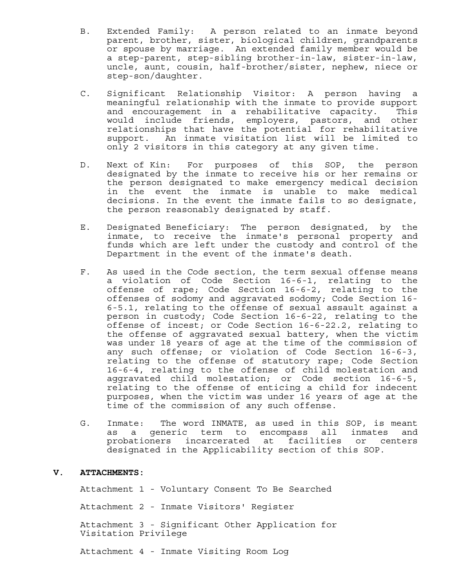- B. Extended Family: A person related to an inmate beyond parent, brother, sister, biological children, grandparents or spouse by marriage. An extended family member would be a step-parent, step-sibling brother-in-law, sister-in-law, uncle, aunt, cousin, half-brother/sister, nephew, niece or step-son/daughter.
- C. Significant Relationship Visitor: A person having a meaningful relationship with the inmate to provide support and encouragement in a rehabilitative capacity. This would include friends, employers, pastors, and other relationships that have the potential for rehabilitative support. An inmate visitation list will be limited to only 2 visitors in this category at any given time.
- D. Next of Kin: For purposes of this SOP, the person designated by the inmate to receive his or her remains or the person designated to make emergency medical decision in the event the inmate is unable to make medical decisions. In the event the inmate fails to so designate, the person reasonably designated by staff.
- E. Designated Beneficiary: The person designated, by the inmate, to receive the inmate's personal property and funds which are left under the custody and control of the Department in the event of the inmate's death.
- F. As used in the Code section, the term sexual offense means a violation of Code Section 16-6-1, relating to the offense of rape; Code Section 16-6-2, relating to the offenses of sodomy and aggravated sodomy; Code Section 16- 6-5.1, relating to the offense of sexual assault against a person in custody; Code Section 16-6-22, relating to the offense of incest; or Code Section 16-6-22.2, relating to the offense of aggravated sexual battery, when the victim was under 18 years of age at the time of the commission of any such offense; or violation of Code Section 16-6-3, relating to the offense of statutory rape; Code Section 16-6-4, relating to the offense of child molestation and aggravated child molestation; or Code section 16-6-5, relating to the offense of enticing a child for indecent purposes, when the victim was under 16 years of age at the time of the commission of any such offense.
- G. Inmate: The word INMATE, as used in this SOP, is meant as a generic term to encompass all inmates and probationers incarcerated at facilities or centers designated in the Applicability section of this SOP.

#### **V. ATTACHMENTS:**

Attachment 1 - Voluntary Consent To Be Searched

Attachment 2 - Inmate Visitors' Register

Attachment 3 - Significant Other Application for Visitation Privilege

Attachment 4 - Inmate Visiting Room Log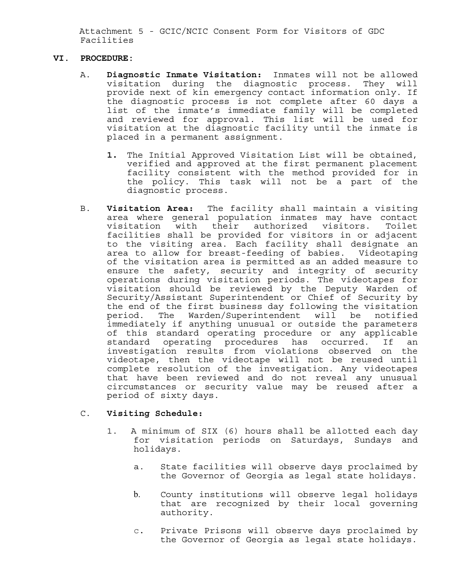Attachment 5 - GCIC/NCIC Consent Form for Visitors of GDC Facilities

#### **VI. PROCEDURE:**

- A. **Diagnostic Inmate Visitation:** Inmates will not be allowed visitation during the diagnostic process. They will provide next of kin emergency contact information only. If the diagnostic process is not complete after 60 days a list of the inmate's immediate family will be completed and reviewed for approval. This list will be used for visitation at the diagnostic facility until the inmate is placed in a permanent assignment.
	- **1.** The Initial Approved Visitation List will be obtained, verified and approved at the first permanent placement facility consistent with the method provided for in the policy. This task will not be a part of the diagnostic process.
- B. **Visitation Area:** The facility shall maintain a visiting area where general population inmates may have contact visitation with their authorized visitors. Toilet facilities shall be provided for visitors in or adjacent to the visiting area. Each facility shall designate an area to allow for breast-feeding of babies. Videotaping of the visitation area is permitted as an added measure to ensure the safety, security and integrity of security operations during visitation periods. The videotapes for visitation should be reviewed by the Deputy Warden of Security/Assistant Superintendent or Chief of Security by the end of the first business day following the visitation period. The Warden/Superintendent will be notified immediately if anything unusual or outside the parameters of this standard operating procedure or any applicable standard operating procedures has occurred. If an investigation results from violations observed on the videotape, then the videotape will not be reused until complete resolution of the investigation. Any videotapes that have been reviewed and do not reveal any unusual circumstances or security value may be reused after a period of sixty days.

#### C. **Visiting Schedule:**

- 1. A minimum of SIX (6) hours shall be allotted each day for visitation periods on Saturdays, Sundays and holidays.
	- a. State facilities will observe days proclaimed by the Governor of Georgia as legal state holidays.
	- b. County institutions will observe legal holidays that are recognized by their local governing authority.
	- c. Private Prisons will observe days proclaimed by the Governor of Georgia as legal state holidays.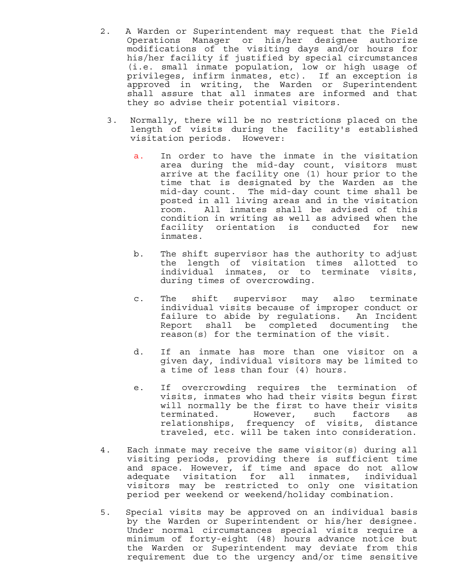- 2. A Warden or Superintendent may request that the Field Operations Manager or his/her designee authorize modifications of the visiting days and/or hours for his/her facility if justified by special circumstances (i.e. small inmate population, low or high usage of privileges, infirm inmates, etc). If an exception is approved in writing, the Warden or Superintendent shall assure that all inmates are informed and that they so advise their potential visitors.
	- 3. Normally, there will be no restrictions placed on the length of visits during the facility's established visitation periods. However:
		- a. In order to have the inmate in the visitation area during the mid-day count, visitors must arrive at the facility one (1) hour prior to the time that is designated by the Warden as the mid-day count. The mid-day count time shall be posted in all living areas and in the visitation room. All inmates shall be advised of this condition in writing as well as advised when the facility orientation is conducted for new inmates.
		- b. The shift supervisor has the authority to adjust the length of visitation times allotted to individual inmates, or to terminate visits, during times of overcrowding.
		- c. The shift supervisor may also terminate individual visits because of improper conduct or failure to abide by regulations. An Incident Report shall be completed documenting the reason(s) for the termination of the visit.
		- d. If an inmate has more than one visitor on a given day, individual visitors may be limited to a time of less than four (4) hours.
		- e. If overcrowding requires the termination of visits, inmates who had their visits begun first will normally be the first to have their visits terminated. However, such factors as relationships, frequency of visits, distance traveled, etc. will be taken into consideration.
- 4. Each inmate may receive the same visitor(s) during all visiting periods, providing there is sufficient time and space. However, if time and space do not allow adequate visitation for all inmates, individual visitors may be restricted to only one visitation period per weekend or weekend/holiday combination.
- 5. Special visits may be approved on an individual basis by the Warden or Superintendent or his/her designee. Under normal circumstances special visits require a minimum of forty-eight (48) hours advance notice but the Warden or Superintendent may deviate from this requirement due to the urgency and/or time sensitive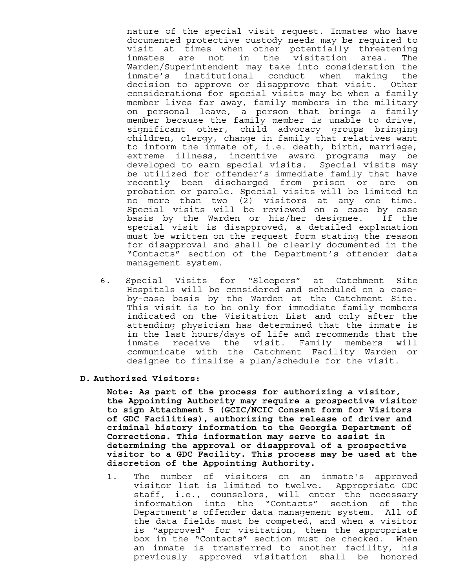nature of the special visit request. Inmates who have documented protective custody needs may be required to visit at times when other potentially threatening inmates are not in the visitation area. The Warden/Superintendent may take into consideration the inmate's institutional conduct when making the decision to approve or disapprove that visit. Other considerations for special visits may be when a family member lives far away, family members in the military on personal leave, a person that brings a family member because the family member is unable to drive, significant other, child advocacy groups bringing children, clergy, change in family that relatives want to inform the inmate of, i.e. death, birth, marriage, extreme illness, incentive award programs may be developed to earn special visits. Special visits may be utilized for offender's immediate family that have recently been discharged from prison or are on probation or parole. Special visits will be limited to no more than two (2) visitors at any one time. Special visits will be reviewed on a case by case basis by the Warden or his/her designee. If the special visit is disapproved, a detailed explanation must be written on the request form stating the reason for disapproval and shall be clearly documented in the "Contacts" section of the Department's offender data management system.

6. Special Visits for "Sleepers" at Catchment Site Hospitals will be considered and scheduled on a caseby-case basis by the Warden at the Catchment Site. This visit is to be only for immediate family members indicated on the Visitation List and only after the attending physician has determined that the inmate is in the last hours/days of life and recommends that the inmate receive the visit. Family members will communicate with the Catchment Facility Warden or designee to finalize a plan/schedule for the visit.

#### **D. Authorized Visitors:**

**Note: As part of the process for authorizing a visitor, the Appointing Authority may require a prospective visitor to sign Attachment 5 (GCIC/NCIC Consent form for Visitors of GDC Facilities), authorizing the release of driver and criminal history information to the Georgia Department of Corrections. This information may serve to assist in determining the approval or disapproval of a prospective visitor to a GDC Facility. This process may be used at the discretion of the Appointing Authority.** 

1. The number of visitors on an inmate's approved visitor list is limited to twelve. Appropriate GDC staff, i.e., counselors, will enter the necessary information into the "Contacts" section of the Department's offender data management system. All of the data fields must be competed, and when a visitor is "approved" for visitation, then the appropriate box in the "Contacts" section must be checked. When an inmate is transferred to another facility, his previously approved visitation shall be honored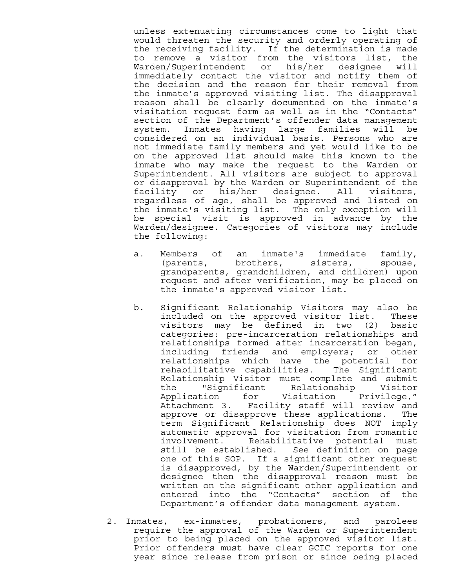unless extenuating circumstances come to light that would threaten the security and orderly operating of the receiving facility. If the determination is made to remove a visitor from the visitors list, the Warden/Superintendent or his/her designee will immediately contact the visitor and notify them of the decision and the reason for their removal from the inmate's approved visiting list. The disapproval reason shall be clearly documented on the inmate's visitation request form as well as in the "Contacts" section of the Department's offender data management system. Inmates having large families will be considered on an individual basis. Persons who are not immediate family members and yet would like to be on the approved list should make this known to the inmate who may make the request to the Warden or Superintendent. All visitors are subject to approval or disapproval by the Warden or Superintendent of the facility or his/her designee. All visitors, regardless of age, shall be approved and listed on the inmate's visiting list. The only exception will be special visit is approved in advance by the Warden/designee. Categories of visitors may include the following:

- a. Members of an inmate's immediate family, (parents, brothers, sisters, spouse, grandparents, grandchildren, and children) upon request and after verification, may be placed on the inmate's approved visitor list.
- b. Significant Relationship Visitors may also be included on the approved visitor list. These visitors may be defined in two (2) basic categories: pre-incarceration relationships and relationships formed after incarceration began, including friends and employers; or other relationships which have the potential for rehabilitative capabilities. The Significant Relationship Visitor must complete and submit<br>the "Significant Relationship Visitor the "Significant Relationship Visitor Application for Visitation Privilege," Attachment 3. Facility staff will review and approve or disapprove these applications. The term Significant Relationship does NOT imply automatic approval for visitation from romantic involvement. Rehabilitative potential must still be established. See definition on page one of this SOP. If a significant other request is disapproved, by the Warden/Superintendent or designee then the disapproval reason must be written on the significant other application and entered into the "Contacts" section of the Department's offender data management system.
- 2. Inmates, ex-inmates, probationers, and parolees require the approval of the Warden or Superintendent prior to being placed on the approved visitor list. Prior offenders must have clear GCIC reports for one year since release from prison or since being placed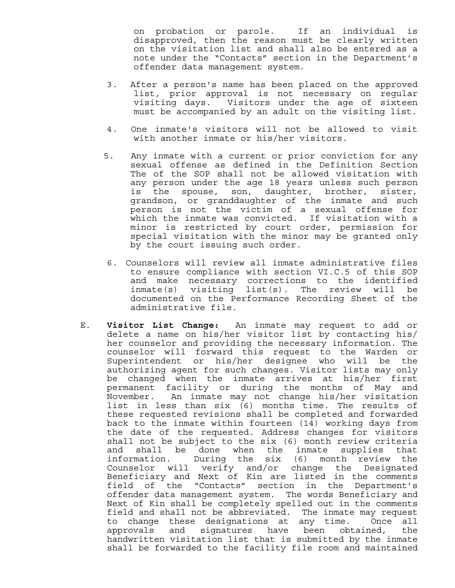on probation or parole. If an individual is disapproved, then the reason must be clearly written on the visitation list and shall also be entered as a note under the "Contacts" section in the Department's offender data management system.

- 3. After a person's name has been placed on the approved list, prior approval is not necessary on regular visiting days. Visitors under the age of sixteen must be accompanied by an adult on the visiting list.
- 4. One inmate's visitors will not be allowed to visit with another inmate or his/her visitors.
- 5. Any inmate with a current or prior conviction for any sexual offense as defined in the Definition Section The of the SOP shall not be allowed visitation with any person under the age 18 years unless such person is the spouse, son, daughter, brother, sister, grandson, or granddaughter of the inmate and such person is not the victim of a sexual offense for which the inmate was convicted. If visitation with a minor is restricted by court order, permission for special visitation with the minor may be granted only by the court issuing such order.
- 6. Counselors will review all inmate administrative files to ensure compliance with section VI.C.5 of this SOP and make necessary corrections to the identified inmate(s) visiting list(s). The review will be documented on the Performance Recording Sheet of the administrative file.
- E. **Visitor List Change:** An inmate may request to add or delete a name on his/her visitor list by contacting his/ her counselor and providing the necessary information. The counselor will forward this request to the Warden or Superintendent or his/her designee who will be the authorizing agent for such changes. Visitor lists may only be changed when the inmate arrives at his/her first permanent facility or during the months of May and November. An inmate may not change his/her visitation list in less than six (6) months time. The results of these requested revisions shall be completed and forwarded back to the inmate within fourteen (14) working days from the date of the requested. Address changes for visitors shall not be subject to the six (6) month review criteria and shall be done when the inmate supplies that information. During the six (6) month review the Counselor will verify and/or change the Designated Beneficiary and Next of Kin are listed in the comments field of the "Contacts" section in the Department's offender data management system. The words Beneficiary and Next of Kin shall be completely spelled out in the comments field and shall not be abbreviated. The inmate may request to change these designations at any time. Once all approvals and signatures have been obtained, the handwritten visitation list that is submitted by the inmate shall be forwarded to the facility file room and maintained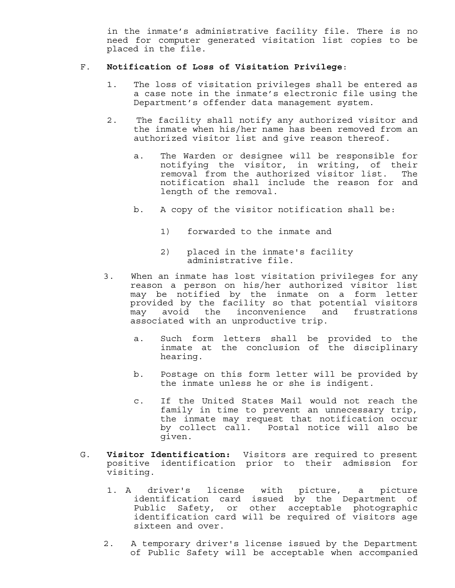in the inmate's administrative facility file. There is no need for computer generated visitation list copies to be placed in the file.

#### F. **Notification of Loss of Visitation Privilege**:

- 1. The loss of visitation privileges shall be entered as a case note in the inmate's electronic file using the Department's offender data management system.
- 2. The facility shall notify any authorized visitor and the inmate when his/her name has been removed from an authorized visitor list and give reason thereof.
	- a. The Warden or designee will be responsible for notifying the visitor, in writing, of their removal from the authorized visitor list. The notification shall include the reason for and length of the removal.
	- b. A copy of the visitor notification shall be:
		- 1) forwarded to the inmate and
		- 2) placed in the inmate's facility administrative file.
- 3. When an inmate has lost visitation privileges for any reason a person on his/her authorized visitor list may be notified by the inmate on a form letter provided by the facility so that potential visitors may avoid the inconvenience and frustrations associated with an unproductive trip.
	- a. Such form letters shall be provided to the inmate at the conclusion of the disciplinary hearing.
	- b. Postage on this form letter will be provided by the inmate unless he or she is indigent.
	- c. If the United States Mail would not reach the family in time to prevent an unnecessary trip, the inmate may request that notification occur by collect call. Postal notice will also be given.
- G. **Visitor Identification:** Visitors are required to present positive identification prior to their admission for visiting.
	- 1. A driver's license with picture, a picture identification card issued by the Department of Public Safety, or other acceptable photographic identification card will be required of visitors age sixteen and over.
	- 2. A temporary driver's license issued by the Department of Public Safety will be acceptable when accompanied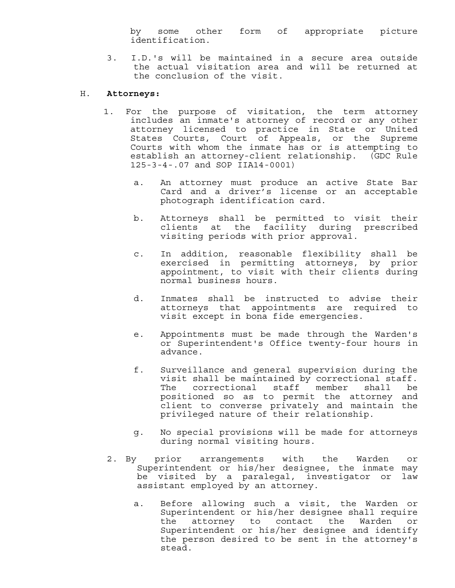by some other form of appropriate picture identification.

3. I.D.'s will be maintained in a secure area outside the actual visitation area and will be returned at the conclusion of the visit.

#### H. **Attorneys:**

- 1. For the purpose of visitation, the term attorney includes an inmate's attorney of record or any other attorney licensed to practice in State or United States Courts, Court of Appeals, or the Supreme Courts with whom the inmate has or is attempting to establish an attorney-client relationship. (GDC Rule 125-3-4-.07 and SOP IIA14-0001)
	- a. An attorney must produce an active State Bar Card and a driver's license or an acceptable photograph identification card.
	- b. Attorneys shall be permitted to visit their clients at the facility during prescribed visiting periods with prior approval.
	- c. In addition, reasonable flexibility shall be exercised in permitting attorneys, by prior appointment, to visit with their clients during normal business hours.
	- d. Inmates shall be instructed to advise their attorneys that appointments are required to visit except in bona fide emergencies.
	- e. Appointments must be made through the Warden's or Superintendent's Office twenty-four hours in advance.
	- f. Surveillance and general supervision during the visit shall be maintained by correctional staff. The correctional staff member shall be positioned so as to permit the attorney and client to converse privately and maintain the privileged nature of their relationship.
	- g. No special provisions will be made for attorneys during normal visiting hours.
- 2. By prior arrangements with the Warden or Superintendent or his/her designee, the inmate may be visited by a paralegal, investigator or law assistant employed by an attorney.
	- a. Before allowing such a visit, the Warden or Superintendent or his/her designee shall require the attorney to contact the Warden or Superintendent or his/her designee and identify the person desired to be sent in the attorney's stead.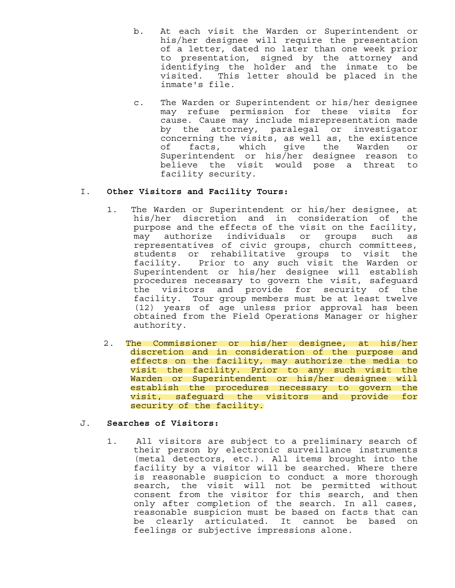- b. At each visit the Warden or Superintendent or his/her designee will require the presentation of a letter, dated no later than one week prior to presentation, signed by the attorney and identifying the holder and the inmate to be visited. This letter should be placed in the inmate's file.
- c. The Warden or Superintendent or his/her designee may refuse permission for these visits for cause. Cause may include misrepresentation made by the attorney, paralegal or investigator concerning the visits, as well as, the existence of facts, which give the Warden or Superintendent or his/her designee reason to believe the visit would pose a threat to facility security.

#### I. **Other Visitors and Facility Tours:**

- 1. The Warden or Superintendent or his/her designee, at his/her discretion and in consideration of the purpose and the effects of the visit on the facility, may authorize individuals or groups such as representatives of civic groups, church committees, students or rehabilitative groups to visit the facility. Prior to any such visit the Warden or Superintendent or his/her designee will establish procedures necessary to govern the visit, safeguard the visitors and provide for security of the facility. Tour group members must be at least twelve (12) years of age unless prior approval has been obtained from the Field Operations Manager or higher authority.
- 2. The Commissioner or his/her designee, at his/her discretion and in consideration of the purpose and effects on the facility, may authorize the media to visit the facility. Prior to any such visit the Warden or Superintendent or his/her designee will establish the procedures necessary to govern the visit, safeguard the visitors and provide for security of the facility.

#### J. **Searches of Visitors:**

1. All visitors are subject to a preliminary search of their person by electronic surveillance instruments (metal detectors, etc.). All items brought into the facility by a visitor will be searched. Where there is reasonable suspicion to conduct a more thorough search, the visit will not be permitted without consent from the visitor for this search, and then only after completion of the search. In all cases, reasonable suspicion must be based on facts that can be clearly articulated. It cannot be based on feelings or subjective impressions alone.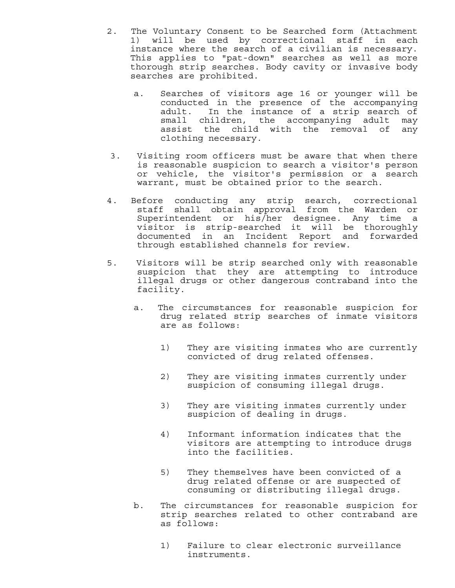- 2. The Voluntary Consent to be Searched form (Attachment 1) will be used by correctional staff in each instance where the search of a civilian is necessary. This applies to "pat-down" searches as well as more thorough strip searches. Body cavity or invasive body searches are prohibited.
	- a. Searches of visitors age 16 or younger will be conducted in the presence of the accompanying adult. In the instance of a strip search of small children, the accompanying adult may assist the child with the removal of any clothing necessary.
- 3. Visiting room officers must be aware that when there is reasonable suspicion to search a visitor's person or vehicle, the visitor's permission or a search warrant, must be obtained prior to the search.
- 4. Before conducting any strip search, correctional staff shall obtain approval from the Warden or Superintendent or his/her designee. Any time a visitor is strip-searched it will be thoroughly documented in an Incident Report and forwarded through established channels for review.
- 5. Visitors will be strip searched only with reasonable suspicion that they are attempting to introduce illegal drugs or other dangerous contraband into the facility.
	- a. The circumstances for reasonable suspicion for drug related strip searches of inmate visitors are as follows:
		- 1) They are visiting inmates who are currently convicted of drug related offenses.
		- 2) They are visiting inmates currently under suspicion of consuming illegal drugs.
		- 3) They are visiting inmates currently under suspicion of dealing in drugs.
		- 4) Informant information indicates that the visitors are attempting to introduce drugs into the facilities.
		- 5) They themselves have been convicted of a drug related offense or are suspected of consuming or distributing illegal drugs.
	- b. The circumstances for reasonable suspicion for strip searches related to other contraband are as follows:
		- 1) Failure to clear electronic surveillance instruments.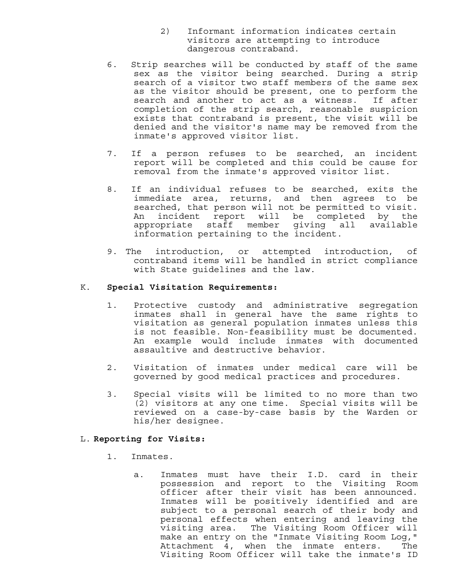- 2) Informant information indicates certain visitors are attempting to introduce dangerous contraband.
- 6. Strip searches will be conducted by staff of the same sex as the visitor being searched. During a strip search of a visitor two staff members of the same sex as the visitor should be present, one to perform the search and another to act as a witness. If after completion of the strip search, reasonable suspicion exists that contraband is present, the visit will be denied and the visitor's name may be removed from the inmate's approved visitor list.
- 7. If a person refuses to be searched, an incident report will be completed and this could be cause for removal from the inmate's approved visitor list.
- 8. If an individual refuses to be searched, exits the immediate area, returns, and then agrees to be searched, that person will not be permitted to visit. An incident report will be completed by the appropriate staff member giving all available information pertaining to the incident.
- 9. The introduction, or attempted introduction, of contraband items will be handled in strict compliance with State guidelines and the law.

#### K. **Special Visitation Requirements:**

- 1. Protective custody and administrative segregation inmates shall in general have the same rights to visitation as general population inmates unless this is not feasible. Non-feasibility must be documented. An example would include inmates with documented assaultive and destructive behavior.
- 2. Visitation of inmates under medical care will be governed by good medical practices and procedures.
- 3. Special visits will be limited to no more than two (2) visitors at any one time. Special visits will be reviewed on a case-by-case basis by the Warden or his/her designee.

#### L. **Reporting for Visits:**

- 1. Inmates.
	- a. Inmates must have their I.D. card in their possession and report to the Visiting Room officer after their visit has been announced. Inmates will be positively identified and are subject to a personal search of their body and personal effects when entering and leaving the visiting area. The Visiting Room Officer will make an entry on the "Inmate Visiting Room Log," Attachment 4, when the inmate enters. The Visiting Room Officer will take the inmate's ID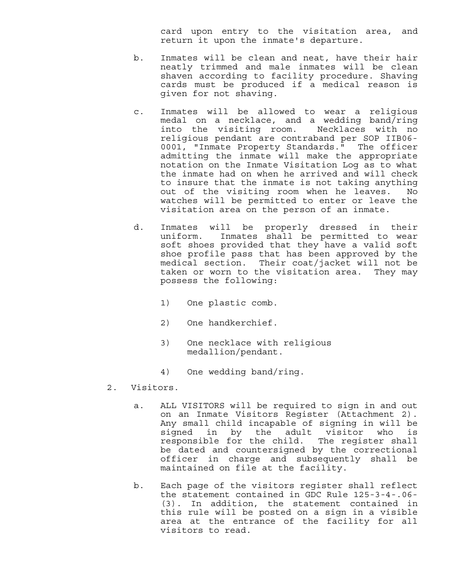card upon entry to the visitation area, and return it upon the inmate's departure.

- b. Inmates will be clean and neat, have their hair neatly trimmed and male inmates will be clean shaven according to facility procedure. Shaving cards must be produced if a medical reason is given for not shaving.
- c. Inmates will be allowed to wear a religious medal on a necklace, and a wedding band/ring into the visiting room. Necklaces with no religious pendant are contraband per SOP IIB06- 0001, "Inmate Property Standards." The officer admitting the inmate will make the appropriate notation on the Inmate Visitation Log as to what the inmate had on when he arrived and will check to insure that the inmate is not taking anything out of the visiting room when he leaves. No watches will be permitted to enter or leave the visitation area on the person of an inmate.
- d. Inmates will be properly dressed in their uniform. Inmates shall be permitted to wear soft shoes provided that they have a valid soft shoe profile pass that has been approved by the medical section. Their coat/jacket will not be taken or worn to the visitation area. They may possess the following:
	- 1) One plastic comb.
	- 2) One handkerchief.
	- 3) One necklace with religious medallion/pendant.
	- 4) One wedding band/ring.
- 2. Visitors.
	- a. ALL VISITORS will be required to sign in and out on an Inmate Visitors Register (Attachment 2). Any small child incapable of signing in will be signed in by the adult visitor who is responsible for the child. The register shall be dated and countersigned by the correctional officer in charge and subsequently shall be maintained on file at the facility.
	- b. Each page of the visitors register shall reflect the statement contained in GDC Rule 125-3-4-.06- (3). In addition, the statement contained in this rule will be posted on a sign in a visible area at the entrance of the facility for all visitors to read.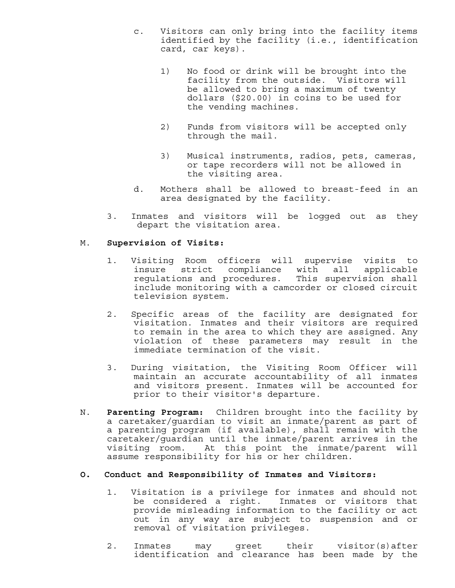- c. Visitors can only bring into the facility items identified by the facility (i.e., identification card, car keys).
	- 1) No food or drink will be brought into the facility from the outside. Visitors will be allowed to bring a maximum of twenty dollars (\$20.00) in coins to be used for the vending machines.
	- 2) Funds from visitors will be accepted only through the mail.
	- 3) Musical instruments, radios, pets, cameras, or tape recorders will not be allowed in the visiting area.
- d. Mothers shall be allowed to breast-feed in an area designated by the facility.
- 3. Inmates and visitors will be logged out as they depart the visitation area.

#### M. **Supervision of Visits:**

- 1. Visiting Room officers will supervise visits to insure strict compliance with all applicable regulations and procedures. This supervision shall include monitoring with a camcorder or closed circuit television system.
- 2. Specific areas of the facility are designated for visitation. Inmates and their visitors are required to remain in the area to which they are assigned. Any violation of these parameters may result in the immediate termination of the visit.
- 3. During visitation, the Visiting Room Officer will maintain an accurate accountability of all inmates and visitors present. Inmates will be accounted for prior to their visitor's departure.
- N. **Parenting Program:** Children brought into the facility by a caretaker/guardian to visit an inmate/parent as part of a parenting program (if available), shall remain with the caretaker/guardian until the inmate/parent arrives in the visiting room. At this point the inmate/parent will assume responsibility for his or her children.

#### **O. Conduct and Responsibility of Inmates and Visitors:**

- 1. Visitation is a privilege for inmates and should not be considered a right. Inmates or visitors that provide misleading information to the facility or act out in any way are subject to suspension and or removal of visitation privileges.
- 2. Inmates may greet their visitor(s)after identification and clearance has been made by the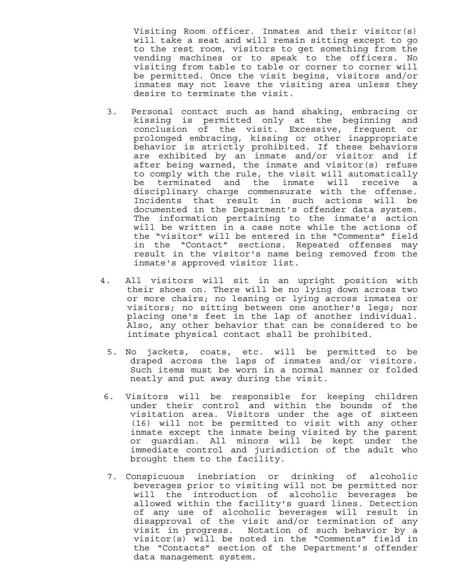Visiting Room officer. Inmates and their visitor(s) will take a seat and will remain sitting except to go to the rest room, visitors to get something from the vending machines or to speak to the officers. No visiting from table to table or corner to corner will be permitted. Once the visit begins, visitors and/or inmates may not leave the visiting area unless they desire to terminate the visit.

- 3. Personal contact such as hand shaking, embracing or kissing is permitted only at the beginning and conclusion of the visit. Excessive, frequent or prolonged embracing, kissing or other inappropriate behavior is strictly prohibited. If these behaviors are exhibited by an inmate and/or visitor and if after being warned, the inmate and visitor(s) refuse to comply with the rule, the visit will automatically be terminated and the inmate will receive a disciplinary charge commensurate with the offense. Incidents that result in such actions will be documented in the Department's offender data system. The information pertaining to the inmate's action will be written in a case note while the actions of the "visitor" will be entered in the "Comments" field in the "Contact" sections. Repeated offenses may result in the visitor's name being removed from the inmate's approved visitor list.
- 4. All visitors will sit in an upright position with their shoes on. There will be no lying down across two or more chairs; no leaning or lying across inmates or visitors; no sitting between one another's legs; nor placing one's feet in the lap of another individual. Also, any other behavior that can be considered to be intimate physical contact shall be prohibited.
	- 5. No jackets, coats, etc. will be permitted to be draped across the laps of inmates and/or visitors. Such items must be worn in a normal manner or folded neatly and put away during the visit.
- 6. Visitors will be responsible for keeping children under their control and within the bounds of the visitation area. Visitors under the age of sixteen (16) will not be permitted to visit with any other inmate except the inmate being visited by the parent or guardian. All minors will be kept under the immediate control and jurisdiction of the adult who brought them to the facility.
- 7. Conspicuous inebriation or drinking of alcoholic beverages prior to visiting will not be permitted nor will the introduction of alcoholic beverages be allowed within the facility's guard lines. Detection of any use of alcoholic beverages will result in disapproval of the visit and/or termination of any visit in progress. Notation of such behavior by a visitor(s) will be noted in the "Comments" field in the "Contacts" section of the Department's offender data management system.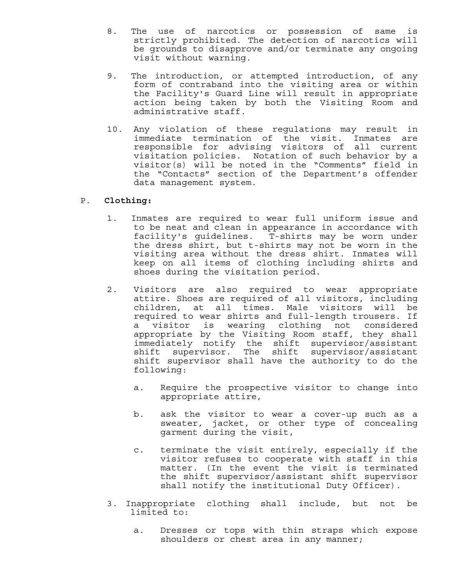- 8. The use of narcotics or possession of same is strictly prohibited. The detection of narcotics will be grounds to disapprove and/or terminate any ongoing visit without warning.
- 9. The introduction, or attempted introduction, of any form of contraband into the visiting area or within the Facility's Guard Line will result in appropriate action being taken by both the Visiting Room and administrative staff.
- 10. Any violation of these regulations may result in immediate termination of the visit. Inmates are responsible for advising visitors of all current visitation policies. Notation of such behavior by a visitor(s) will be noted in the "Comments" field in the "Contacts" section of the Department's offender data management system.

#### P. **Clothing:**

- 1. Inmates are required to wear full uniform issue and to be neat and clean in appearance in accordance with facility's guidelines. T-shirts may be worn under the dress shirt, but t-shirts may not be worn in the visiting area without the dress shirt. Inmates will keep on all items of clothing including shirts and shoes during the visitation period.
- 2. Visitors are also required to wear appropriate attire. Shoes are required of all visitors, including children, at all times. Male visitors will be required to wear shirts and full-length trousers. If a visitor is wearing clothing not considered appropriate by the Visiting Room staff, they shall immediately notify the shift supervisor/assistant shift supervisor. The shift supervisor/assistant shift supervisor shall have the authority to do the following:
	- a. Require the prospective visitor to change into appropriate attire,
	- b. ask the visitor to wear a cover-up such as a sweater, jacket, or other type of concealing garment during the visit,
	- c. terminate the visit entirely, especially if the visitor refuses to cooperate with staff in this matter. (In the event the visit is terminated the shift supervisor/assistant shift supervisor shall notify the institutional Duty Officer).
- 3. Inappropriate clothing shall include, but not be limited to:
	- a. Dresses or tops with thin straps which expose shoulders or chest area in any manner;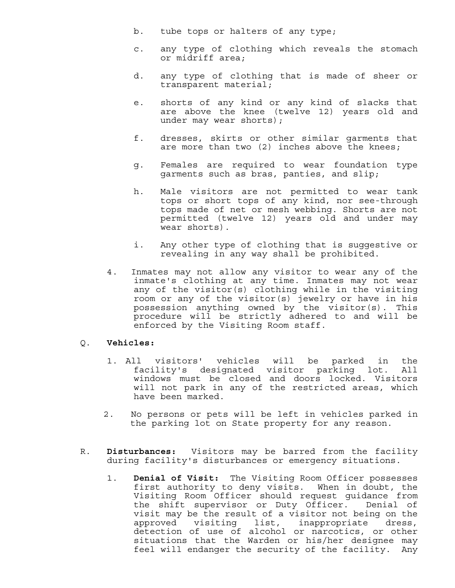- b. tube tops or halters of any type;
- c. any type of clothing which reveals the stomach or midriff area;
- d. any type of clothing that is made of sheer or transparent material;
- e. shorts of any kind or any kind of slacks that are above the knee (twelve 12) years old and under may wear shorts);
- f. dresses, skirts or other similar garments that are more than two (2) inches above the knees;
- g. Females are required to wear foundation type garments such as bras, panties, and slip;
- h. Male visitors are not permitted to wear tank tops or short tops of any kind, nor see-through tops made of net or mesh webbing. Shorts are not permitted (twelve 12) years old and under may wear shorts).
- i. Any other type of clothing that is suggestive or revealing in any way shall be prohibited.
- 4. Inmates may not allow any visitor to wear any of the inmate's clothing at any time. Inmates may not wear any of the visitor(s) clothing while in the visiting room or any of the visitor(s) jewelry or have in his possession anything owned by the visitor(s). This procedure will be strictly adhered to and will be enforced by the Visiting Room staff.

#### Q. **Vehicles:**

- 1. All visitors' vehicles will be parked in the facility's designated visitor parking lot. All windows must be closed and doors locked. Visitors will not park in any of the restricted areas, which have been marked.
- 2. No persons or pets will be left in vehicles parked in the parking lot on State property for any reason.
- R. **Disturbances:** Visitors may be barred from the facility during facility's disturbances or emergency situations.
	- 1. **Denial of Visit:** The Visiting Room Officer possesses first authority to deny visits. When in doubt, the Visiting Room Officer should request guidance from the shift supervisor or Duty Officer. Denial of visit may be the result of a visitor not being on the<br>approved visiting list, inappropriate dress, visiting list, inappropriate dress, detection of use of alcohol or narcotics, or other situations that the Warden or his/her designee may feel will endanger the security of the facility. Any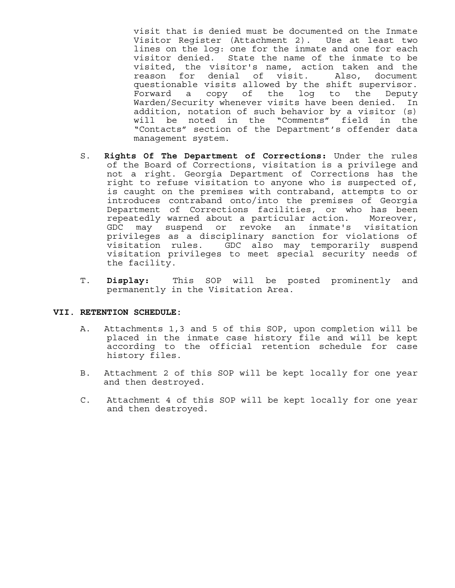visit that is denied must be documented on the Inmate Visitor Register (Attachment 2). Use at least two lines on the log: one for the inmate and one for each visitor denied. State the name of the inmate to be visited, the visitor's name, action taken and the reason for denial of visit. Also, document questionable visits allowed by the shift supervisor. Forward a copy of the log to the Deputy Warden/Security whenever visits have been denied. In addition, notation of such behavior by a visitor (s) will be noted in the "Comments" field in the "Contacts" section of the Department's offender data management system.

- S. **Rights Of The Department of Corrections:** Under the rules of the Board of Corrections, visitation is a privilege and not a right. Georgia Department of Corrections has the right to refuse visitation to anyone who is suspected of, is caught on the premises with contraband, attempts to or introduces contraband onto/into the premises of Georgia Department of Corrections facilities, or who has been repeatedly warned about a particular action. Moreover, GDC may suspend or revoke an inmate's visitation privileges as a disciplinary sanction for violations of visitation rules. GDC also may temporarily suspend visitation privileges to meet special security needs of the facility.
- T. **Display:** This SOP will be posted prominently and permanently in the Visitation Area.

#### **VII. RETENTION SCHEDULE:**

- A. Attachments 1,3 and 5 of this SOP, upon completion will be placed in the inmate case history file and will be kept according to the official retention schedule for case history files.
- B. Attachment 2 of this SOP will be kept locally for one year and then destroyed.
- C. Attachment 4 of this SOP will be kept locally for one year and then destroyed.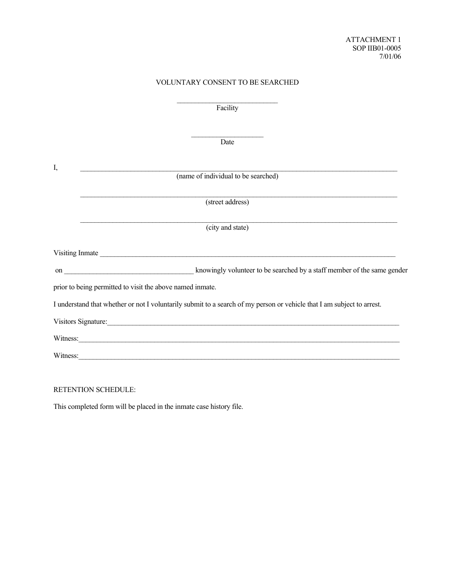#### VOLUNTARY CONSENT TO BE SEARCHED

Facility

Date **Date** 

| I,       |                                                                                                                                                                                                                                      |
|----------|--------------------------------------------------------------------------------------------------------------------------------------------------------------------------------------------------------------------------------------|
|          | (name of individual to be searched)                                                                                                                                                                                                  |
|          |                                                                                                                                                                                                                                      |
|          | (street address)                                                                                                                                                                                                                     |
|          |                                                                                                                                                                                                                                      |
|          | (city and state)                                                                                                                                                                                                                     |
|          |                                                                                                                                                                                                                                      |
|          |                                                                                                                                                                                                                                      |
|          | prior to being permitted to visit the above named inmate.                                                                                                                                                                            |
|          | I understand that whether or not I voluntarily submit to a search of my person or vehicle that I am subject to arrest.                                                                                                               |
|          |                                                                                                                                                                                                                                      |
|          | Witness: <u>Communications in the second contract of the second contract of the second contract of the second contract of the second contract of the second contract of the second contract of the second contract of the second</u> |
| Witness: |                                                                                                                                                                                                                                      |

RETENTION SCHEDULE:

This completed form will be placed in the inmate case history file.

 $\mathcal{L}_\text{max}$  and  $\mathcal{L}_\text{max}$  and  $\mathcal{L}_\text{max}$  and  $\mathcal{L}_\text{max}$  and  $\mathcal{L}_\text{max}$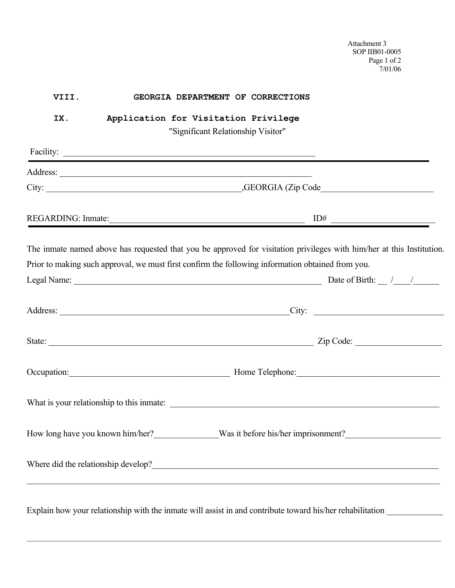Attachment 3 SOP IIB01-0005 Page 1 of 2 7/01/06

| VIII. | GEORGIA DEPARTMENT OF CORRECTIONS                                                                                     |
|-------|-----------------------------------------------------------------------------------------------------------------------|
| IX.   | Application for Visitation Privilege<br>"Significant Relationship Visitor"                                            |
|       | Facility:                                                                                                             |
|       |                                                                                                                       |
|       |                                                                                                                       |
|       | REGARDING: Inmate: ID#                                                                                                |
|       | The inmate named above has requested that you be approved for visitation privileges with him/her at this Institution. |
|       | Prior to making such approval, we must first confirm the following information obtained from you.                     |
|       |                                                                                                                       |
|       |                                                                                                                       |
|       |                                                                                                                       |
|       | Occupation: Mome Telephone: Mome Telephone: Mome Telephone:                                                           |
|       |                                                                                                                       |
|       | How long have you known him/her?_______________Was it before his/her imprisonment?____________________________        |
|       | Where did the relationship develop?<br><u> </u>                                                                       |
|       |                                                                                                                       |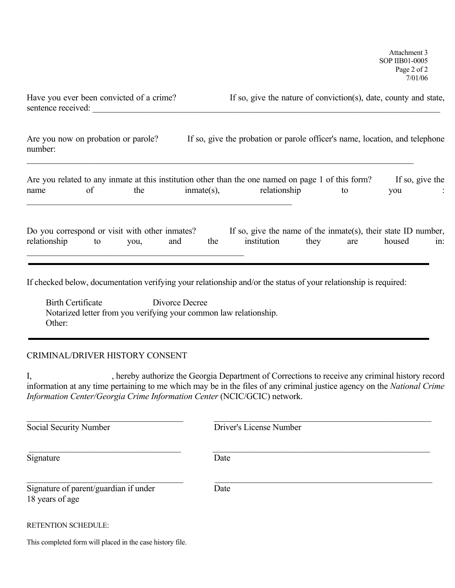| Have you ever been convicted of a crime? | If so, give the nature of conviction(s), date, county and state, |
|------------------------------------------|------------------------------------------------------------------|
| sentence received:                       |                                                                  |

| Are you now on probation or parole? | If so, give the probation or parole officer's name, location, and telephone |
|-------------------------------------|-----------------------------------------------------------------------------|
| number:                             |                                                                             |
|                                     |                                                                             |

|      |     |               | Are you related to any inmate at this institution other than the one named on page 1 of this form? | If so, give the |  |
|------|-----|---------------|----------------------------------------------------------------------------------------------------|-----------------|--|
| name | the | $immate(s)$ , | relationship                                                                                       | vou             |  |
|      |     |               |                                                                                                    |                 |  |

| Do you correspond or visit with other inmates? |    |      |     |     | If so, give the name of the inmate(s), their state ID number, |      |     |        |     |
|------------------------------------------------|----|------|-----|-----|---------------------------------------------------------------|------|-----|--------|-----|
| relationship                                   | to | VOU, | and | the | institution                                                   | they | are | housed | in: |
|                                                |    |      |     |     |                                                               |      |     |        |     |

If checked below, documentation verifying your relationship and/or the status of your relationship is required:

 Birth Certificate Divorce Decree Notarized letter from you verifying your common law relationship. Other:

### CRIMINAL/DRIVER HISTORY CONSENT

I, hereby authorize the Georgia Department of Corrections to receive any criminal history record information at any time pertaining to me which may be in the files of any criminal justice agency on the *National Crime Information Center/Georgia Crime Information Center* (NCIC/GCIC) network.

 $\_$ **Social Security Number Driver's License Number**  \_\_\_\_\_\_\_\_\_\_\_\_\_\_\_\_\_\_\_\_\_\_\_\_\_\_\_\_\_\_\_\_\_\_\_ \_\_\_\_\_\_\_\_\_\_\_\_\_\_\_\_\_\_\_\_\_\_\_\_\_\_\_\_\_\_\_\_\_\_\_\_\_\_\_\_\_\_\_\_\_\_\_\_\_\_ Signature Date  $\_$  , and the contribution of the contribution of  $\mathcal{L}_\mathcal{A}$  , and the contribution of  $\mathcal{L}_\mathcal{A}$ Signature of parent/guardian if under Date 18 years of age

RETENTION SCHEDULE:

j

This completed form will placed in the case history file.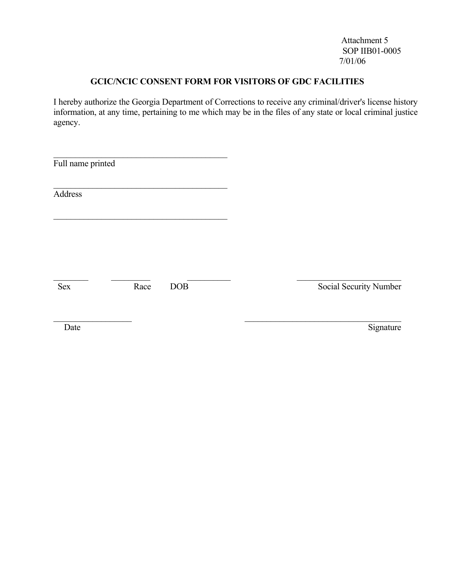Attachment 5 SOP IIB01-0005 7/01/06

### **GCIC/NCIC CONSENT FORM FOR VISITORS OF GDC FACILITIES**

I hereby authorize the Georgia Department of Corrections to receive any criminal/driver's license history information, at any time, pertaining to me which may be in the files of any state or local criminal justice agency.

| Full name printed |      |     |                        |
|-------------------|------|-----|------------------------|
| Address           |      |     |                        |
|                   |      |     |                        |
|                   |      |     |                        |
| <b>Sex</b>        | Race | DOB | Social Security Number |
| Date              |      |     | Signature              |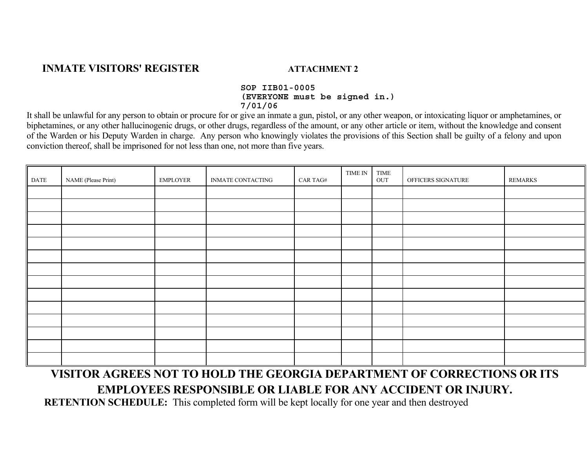### **INMATE VISITORS' REGISTER ATTACHMENT 2**

#### **SOP IIB01-0005 (EVERYONE must be signed in.) 7/01/06**

It shall be unlawful for any person to obtain or procure for or give an inmate a gun, pistol, or any other weapon, or intoxicating liquor or amphetamines, or biphetamines, or any other hallucinogenic drugs, or other drugs, regardless of the amount, or any other article or item, without the knowledge and consent of the Warden or his Deputy Warden in charge. Any person who knowingly violates the provisions of this Section shall be guilty of a felony and upon conviction thereof, shall be imprisoned for not less than one, not more than five years.

| DATE | NAME (Please Print) | <b>EMPLOYER</b> | INMATE CONTACTING | $\rm CAR$ TAG# | TIME IN | TIME<br>$_{\mbox{\small{OUT}}}$ | OFFICERS SIGNATURE | <b>REMARKS</b> |
|------|---------------------|-----------------|-------------------|----------------|---------|---------------------------------|--------------------|----------------|
|      |                     |                 |                   |                |         |                                 |                    |                |
|      |                     |                 |                   |                |         |                                 |                    |                |
|      |                     |                 |                   |                |         |                                 |                    |                |
|      |                     |                 |                   |                |         |                                 |                    |                |
|      |                     |                 |                   |                |         |                                 |                    |                |
|      |                     |                 |                   |                |         |                                 |                    |                |
|      |                     |                 |                   |                |         |                                 |                    |                |
|      |                     |                 |                   |                |         |                                 |                    |                |
|      |                     |                 |                   |                |         |                                 |                    |                |
|      |                     |                 |                   |                |         |                                 |                    |                |
|      |                     |                 |                   |                |         |                                 |                    |                |
|      |                     |                 |                   |                |         |                                 |                    |                |
|      |                     |                 |                   |                |         |                                 |                    |                |
|      |                     |                 |                   |                |         |                                 |                    |                |

## **VISITOR AGREES NOT TO HOLD THE GEORGIA DEPARTMENT OF CORRECTIONS OR ITS EMPLOYEES RESPONSIBLE OR LIABLE FOR ANY ACCIDENT OR INJURY.**

 **RETENTION SCHEDULE:** This completed form will be kept locally for one year and then destroyed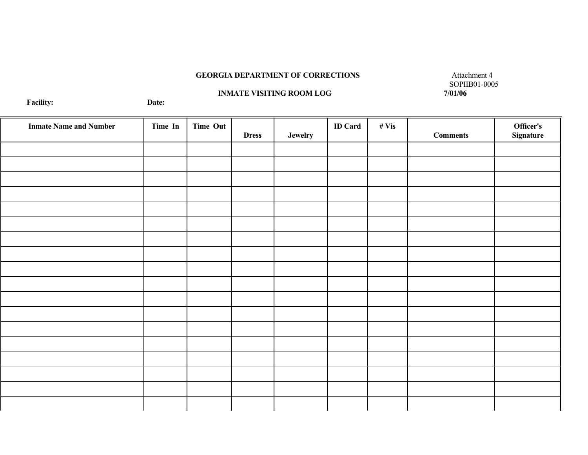#### **GEORGIA DEPARTMENT OF CORRECTIONS** Attachment 4

# **INMATE VISITING ROOM LOG** Date:

Т

Т

┯

SOPIIB01-0005<br>7/01/06

Т

╗

**Facility:** Т

| <b>Inmate Name and Number</b> | Time In | <b>Time Out</b> |              |         | <b>ID</b> Card | # Vis |                 | <b>Officer's</b><br>Signature |
|-------------------------------|---------|-----------------|--------------|---------|----------------|-------|-----------------|-------------------------------|
|                               |         |                 | <b>Dress</b> | Jewelry |                |       | <b>Comments</b> |                               |
|                               |         |                 |              |         |                |       |                 |                               |
|                               |         |                 |              |         |                |       |                 |                               |
|                               |         |                 |              |         |                |       |                 |                               |
|                               |         |                 |              |         |                |       |                 |                               |
|                               |         |                 |              |         |                |       |                 |                               |
|                               |         |                 |              |         |                |       |                 |                               |
|                               |         |                 |              |         |                |       |                 |                               |
|                               |         |                 |              |         |                |       |                 |                               |
|                               |         |                 |              |         |                |       |                 |                               |
|                               |         |                 |              |         |                |       |                 |                               |
|                               |         |                 |              |         |                |       |                 |                               |
|                               |         |                 |              |         |                |       |                 |                               |
|                               |         |                 |              |         |                |       |                 |                               |
|                               |         |                 |              |         |                |       |                 |                               |
|                               |         |                 |              |         |                |       |                 |                               |
|                               |         |                 |              |         |                |       |                 |                               |
|                               |         |                 |              |         |                |       |                 |                               |
|                               |         |                 |              |         |                |       |                 |                               |